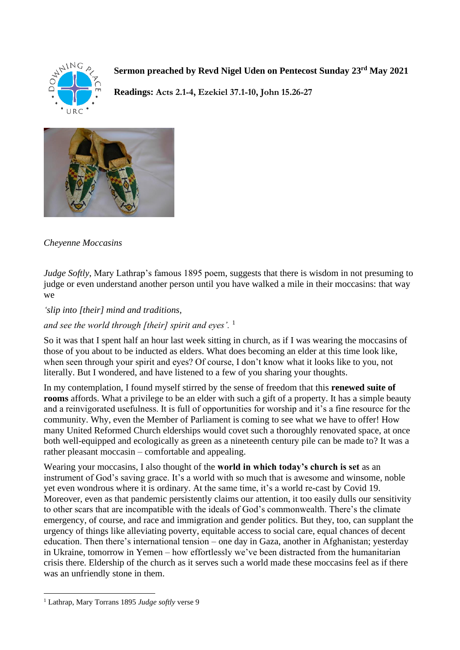

**Sermon preached by Revd Nigel Uden on Pentecost Sunday 23rd May 2021**

**Readings: Acts 2.1-4, Ezekiel 37.1-10, John 15.26-27**



## *Cheyenne Moccasins*

*Judge Softly*, Mary Lathrap's famous 1895 poem, suggests that there is wisdom in not presuming to judge or even understand another person until you have walked a mile in their moccasins: that way we

## *'slip into [their] mind and traditions,*

## *and see the world through [their] spirit and eyes'.* <sup>1</sup>

So it was that I spent half an hour last week sitting in church, as if I was wearing the moccasins of those of you about to be inducted as elders. What does becoming an elder at this time look like, when seen through your spirit and eyes? Of course, I don't know what it looks like to you, not literally. But I wondered, and have listened to a few of you sharing your thoughts.

In my contemplation, I found myself stirred by the sense of freedom that this **renewed suite of rooms** affords. What a privilege to be an elder with such a gift of a property. It has a simple beauty and a reinvigorated usefulness. It is full of opportunities for worship and it's a fine resource for the community. Why, even the Member of Parliament is coming to see what we have to offer! How many United Reformed Church elderships would covet such a thoroughly renovated space, at once both well-equipped and ecologically as green as a nineteenth century pile can be made to? It was a rather pleasant moccasin – comfortable and appealing.

Wearing your moccasins, I also thought of the **world in which today's church is set** as an instrument of God's saving grace. It's a world with so much that is awesome and winsome, noble yet even wondrous where it is ordinary. At the same time, it's a world re-cast by Covid 19. Moreover, even as that pandemic persistently claims our attention, it too easily dulls our sensitivity to other scars that are incompatible with the ideals of God's commonwealth. There's the climate emergency, of course, and race and immigration and gender politics. But they, too, can supplant the urgency of things like alleviating poverty, equitable access to social care, equal chances of decent education. Then there's international tension – one day in Gaza, another in Afghanistan; yesterday in Ukraine, tomorrow in Yemen – how effortlessly we've been distracted from the humanitarian crisis there. Eldership of the church as it serves such a world made these moccasins feel as if there was an unfriendly stone in them.

<sup>1</sup> Lathrap, Mary Torrans 1895 *Judge softly* verse 9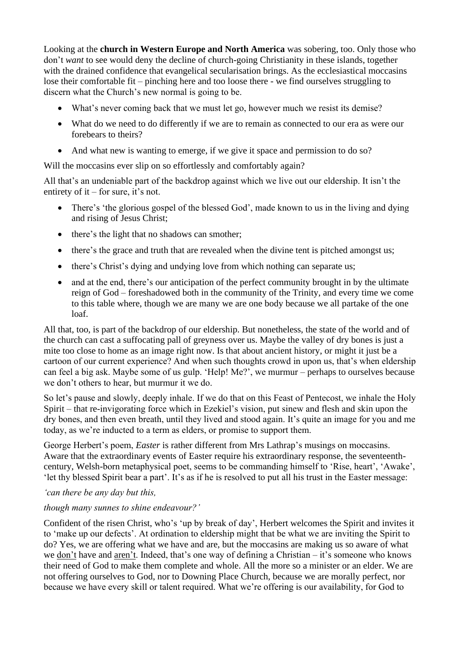Looking at the **church in Western Europe and North America** was sobering, too. Only those who don't *want* to see would deny the decline of church-going Christianity in these islands, together with the drained confidence that evangelical secularisation brings. As the ecclesiastical moccasins lose their comfortable fit – pinching here and too loose there - we find ourselves struggling to discern what the Church's new normal is going to be.

- What's never coming back that we must let go, however much we resist its demise?
- What do we need to do differently if we are to remain as connected to our era as were our forebears to theirs?
- And what new is wanting to emerge, if we give it space and permission to do so?

Will the moccasins ever slip on so effortlessly and comfortably again?

All that's an undeniable part of the backdrop against which we live out our eldership. It isn't the entirety of it – for sure, it's not.

- There's 'the glorious gospel of the blessed God', made known to us in the living and dying and rising of Jesus Christ;
- there's the light that no shadows can smother;
- there's the grace and truth that are revealed when the divine tent is pitched amongst us;
- there's Christ's dying and undying love from which nothing can separate us;
- and at the end, there's our anticipation of the perfect community brought in by the ultimate reign of God – foreshadowed both in the community of the Trinity, and every time we come to this table where, though we are many we are one body because we all partake of the one loaf.

All that, too, is part of the backdrop of our eldership. But nonetheless, the state of the world and of the church can cast a suffocating pall of greyness over us. Maybe the valley of dry bones is just a mite too close to home as an image right now. Is that about ancient history, or might it just be a cartoon of our current experience? And when such thoughts crowd in upon us, that's when eldership can feel a big ask. Maybe some of us gulp. 'Help! Me?', we murmur – perhaps to ourselves because we don't others to hear, but murmur it we do.

So let's pause and slowly, deeply inhale. If we do that on this Feast of Pentecost, we inhale the Holy Spirit – that re-invigorating force which in Ezekiel's vision, put sinew and flesh and skin upon the dry bones, and then even breath, until they lived and stood again. It's quite an image for you and me today, as we're inducted to a term as elders, or promise to support them.

George Herbert's poem, *Easter* is rather different from Mrs Lathrap's musings on moccasins. Aware that the extraordinary events of Easter require his extraordinary response, the seventeenthcentury, Welsh-born metaphysical poet, seems to be commanding himself to 'Rise, heart', 'Awake', 'let thy blessed Spirit bear a part'. It's as if he is resolved to put all his trust in the Easter message:

*'can there be any day but this,* 

## *though many sunnes to shine endeavour?'*

Confident of the risen Christ, who's 'up by break of day', Herbert welcomes the Spirit and invites it to 'make up our defects'. At ordination to eldership might that be what we are inviting the Spirit to do? Yes, we are offering what we have and are, but the moccasins are making us so aware of what we don't have and aren't. Indeed, that's one way of defining a Christian – it's someone who knows their need of God to make them complete and whole. All the more so a minister or an elder. We are not offering ourselves to God, nor to Downing Place Church, because we are morally perfect, nor because we have every skill or talent required. What we're offering is our availability, for God to